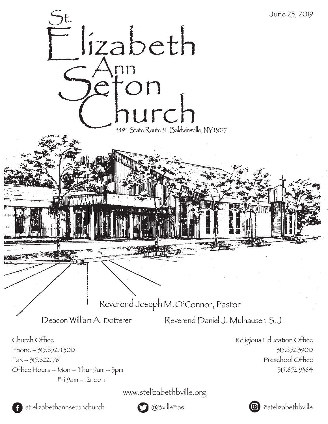

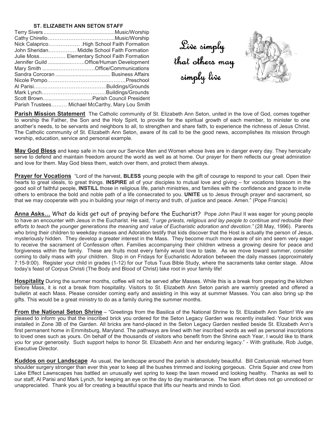### **ST. ELIZABETH ANN SETON STAFF**

| John Sheridan Middle School Faith Formation      |
|--------------------------------------------------|
| Julie Moss Elementary School Faith Formation     |
| Jennifer Guild Office/Human Development          |
| Mary Smith Office/Communications                 |
|                                                  |
|                                                  |
|                                                  |
|                                                  |
|                                                  |
| Parish Trustees Michael McCarthy, Mary Lou Smith |

Live simply that others may simply live



**Parish Mission Statement** The Catholic community of St. Elizabeth Ann Seton, united in the love of God, comes together to worship the Father, the Son and the Holy Spirit, to provide for the spiritual growth of each member, to minister to one another's needs, to be servants and neighbors to all, to strengthen and share faith, to experience the richness of Jesus Christ. The Catholic community of St. Elizabeth Ann Seton, aware of its call to be the good news, accomplishes its mission through worship, education, service and personal example.

**May God Bless** and keep safe in his care our Service Men and Women whose lives are in danger every day. They heroically serve to defend and maintain freedom around the world as well as at home. Our prayer for them reflects our great admiration and love for them. May God bless them, watch over them, and protect them always.

**Prayer for Vocations** "Lord of the harvest, **BLESS** young people with the gift of courage to respond to your call. Open their hearts to great ideals, to great things. **INSPIRE** all of your disciples to mutual love and giving – for vocations blossom in the good soil of faithful people, **INSTILL** those in religious life, parish ministries, and families with the confidence and grace to invite others to embrace the bold and noble path of a life consecrated to you. **UNITE** us to Jesus through prayer and sacrament, so that we may cooperate with you in building your reign of mercy and truth, of justice and peace. Amen." (Pope Francis)

**Anna Asks...** What do kids get out of praying before the Eucharist? Pope John Paul II was eager for young people to have an encounter with Jesus in the Eucharist. He said, *"I urge priests, religious and lay people to continue and redouble their efforts to teach the younger generations the meaning and value of Eucharistic adoration and devotion."* (28 May, 1996). Parents who bring their children to weekday masses and Adoration testify that kids discover that the Host is actually the person of Jesus, mysteriously hidden. They develop a greater interest in the Mass. They become much more aware of sin and seem very eager to receive the sacrament of Confession often. Families accompanying their children witness a growing desire for peace and forgiveness within the family. These are fruits most every family would love to taste. As we move toward summer, consider coming to daily mass with your children. Stop in on Fridays for Eucharistic Adoration between the daily masses (approximately 7:15-9:00). Register your child in grades (1-12) for our Totus Tuus Bible Study, where the sacraments take center stage. Allow today's feast of Corpus Christi (The Body and Blood of Christ) take root in your family life!

**Hospitality** During the summer months, coffee will not be served after Masses. While this is a break from preparing the kitchen before Mass, it is not a break from hospitality. Visitors to St. Elizabeth Ann Seton parish are warmly greeted and offered a bulletin at each Mass. Please consider coming early and assisting in this way at summer Masses. You can also bring up the gifts. This would be a great ministry to do as a family during the summer months.

**From the National Seton Shrine** – "Greetings from the Basilica of the National Shrine to St. Elizabeth Ann Seton! We are pleased to inform you that the inscribed brick you ordered for the Seton Legacy Garden was recently installed. Your brick was installed in Zone 3B of the Garden. All bricks are hand-placed in the Seton Legacy Garden nestled beside St. Elizabeth Ann's first permanent home in Emmitsburg, Maryland. The pathways are lined with her inscribed words as well as personal inscriptions to loved ones such as yours. On behalf of the thousands of visitors who benefit from the Shrine each Year, I would like to thank you for your generosity. Such support helps to honor St. Elizabeth Ann and her enduring legacy." - With gratitude, Rob Judge, Executive Director.

**Kuddos on our Landscape** As usual, the landscape around the parish is absolutely beautiful. Bill Czelusniak returned from shoulder surgery stronger than ever this year to keep all the bushes trimmed and looking gorgeous. Chris Squier and crew from Lake Effect Lawnscapes has battled an unusually wet spring to keep the lawn mowed and looking healthy. Thanks as well to our staff, Al Parisi and Mark Lynch, for keeping an eye on the day to day maintenance. The team effort does not go unnoticed or unappreciated. Thank you all for creating a beautiful space that lifts our hearts and minds to God.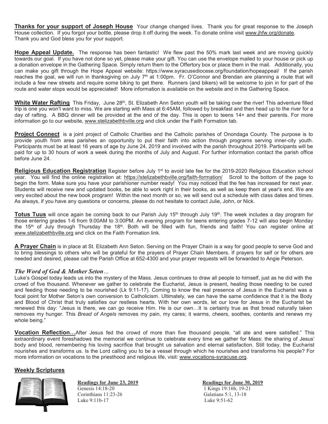**Thanks for your support of Joseph House** Your change changed lives. Thank you for great response to the Joseph House collection. If you forgot your bottle, please drop it off during the week. To donate online visit www.jhfw.org/donate. Thank you and God bless you for your support.

**Hope Appeal Update.** The response has been fantastic! We flew past the 50% mark last week and are moving quickly towards our goal. If you have not done so yet, please make your gift. You can use the envelope mailed to your house or pick up a donation envelope in the Gathering Space. Simply return them to the Offertory box or place them in the mail. Additionally, you can make you gift through the Hope Appeal website: https://www.syracusediocese.org/foundation/hopeappeal/ If the parish reaches the goal, we will run in thanksgiving on July 7<sup>th</sup> at 1:00pm. Fr. O'Connor and Brendan are planning a route that will include a few new streets and require some biking to get there. Runners (and bikers) will be welcome to join in for part of the route and water stops would be appreciated! More information is available on the website and in the Gathering Space.

**White Water Rafting** This Friday, June 28<sup>th</sup>, St. Elizabeth Ann Seton youth will be taking over the river! This adventure filled trip is one you won't want to miss. We are starting with Mass at 6:45AM, followed by breakfast and then head up to the river for a day of rafting. A BBQ dinner will be provided at the end of the day. This is open to teens 14+ and their parents. For more information go to our website, www.stelizabethbville.org and click under the Faith Formation tab.

**Project Connect** is a joint project of Catholic Charities and the Catholic parishes of Onondaga County. The purpose is to provide youth from area parishes an opportunity to put their faith into action through programs serving inner-city youth. Participants must be at least 16 years of age by June 24, 2019 and involved with the parish throughout 2019. Participants will be paid for up to 30 hours of work a week during the months of July and August. For further information contact the parish office before June 24.

**Religious Education Registration** Register before July 1<sup>st</sup> to avoid late fee for the 2019-2020 Religious Education school year. You will find the online registration at: https://stelizabethbville.org/faith-formation/ Scroll to the bottom of the page to begin the form. Make sure you have your parishioner number ready! You may noticed that the fee has increased for next year. Students will receive new and updated books, be able to work right in their books, as well as keep them at year's end. We are very excited about the new book program! Within the next month or so, we will send out a schedule with class dates and times. As always, if you have any questions or concerns, please do not hesitate to contact Julie, John, or Nick.

**Totus Tuus** will once again be coming back to our Parish July 15<sup>th</sup> through July 19<sup>th</sup>. The week includes a day program for those entering grades 1-6 from 9:00AM to 3:00PM. An evening program for teens entering grades 7-12 will also begin Monday the 15<sup>th</sup> of July through Thursday the 18<sup>th</sup>. Both will be filled with fun, friends and faith! You can register online at www.stelizabethbville.org and click on the Faith Formation link.

**A Prayer Chain** is in place at St. Elizabeth Ann Seton. Serving on the Prayer Chain is a way for good people to serve God and to bring blessings to others who will be grateful for the prayers of Prayer Chain Members. If prayers for self or for others are needed and desired, please call the Parish Office at 652-4300 and your prayer requests will be forwarded to Angie Peterson.

# *The Word of God & Mother Seton…*

Luke's Gospel today leads us into the mystery of the Mass. Jesus continues to draw all people to himself, just as he did with the crowd of five thousand. Whenever we gather to celebrate the Eucharist, Jesus is present, healing those needing to be cured and feeding those needing to be nourished (Lk 9:11-17). Coming to know the real presence of Jesus in the Eucharist was a focal point for Mother Seton's own conversion to Catholicism. Ultimately, we can have the same confidence that it is the Body and Blood of Christ that truly satisfies our restless hearts. With her own words, let our love for Jesus in the Eucharist be renewed this day: "Jesus is there, we can go receive Him. He is our own...It is certainly true as that bread naturally taken removes my hunger. This *Bread of Angels* removes my pain, my cares; it warms, cheers, soothes, contents and renews my whole being."

**Vocation Reflection...**After Jesus fed the crowd of more than five thousand people, "all ate and were satisfied." This extraordinary event foreshadows the memorial we continue to celebrate every time we gather for Mass: the sharing of Jesus' body and blood, remembering his loving sacrifice that brought us salvation and eternal satisfaction. Still today, the Eucharist nourishes and transforms us. Is the Lord calling you to be a vessel through which he nourishes and transforms his people? For more information on vocations to the priesthood and religious life, visit: www.vocations-syracuse.org.

# **Weekly Scriptures**



Corinthians 11:23-26 Galatians 5:1, 13-18 Luke 9:11b-17 Luke 9:51-62

**Readings for June 23, 2019**<br> **Readings for June 30, 2019**<br>
1 Kings 19:16b, 19-21 1 Kings 19:16b, 19-21